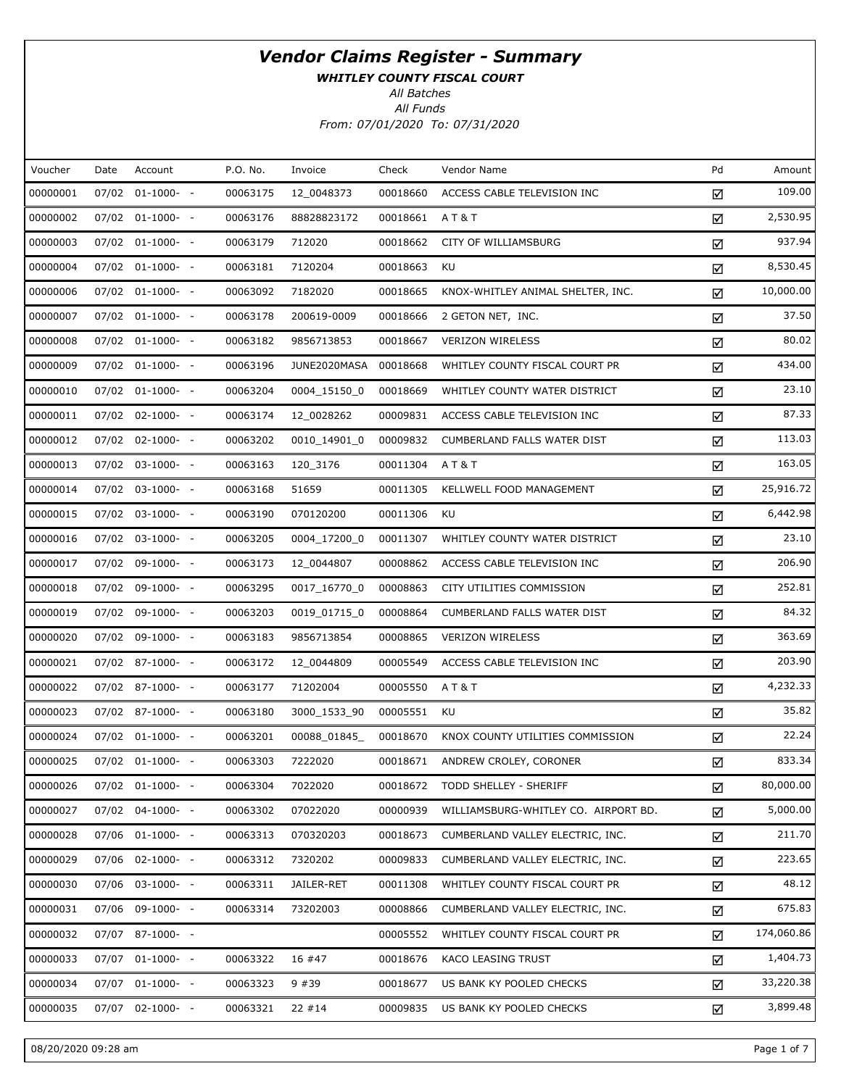WHITLEY COUNTY FISCAL COURT

All Batches

| Voucher  | Date  | Account               | P.O. No. | Invoice      | Check    | Vendor Name                          | Pd | Amount     |
|----------|-------|-----------------------|----------|--------------|----------|--------------------------------------|----|------------|
| 00000001 | 07/02 | $01-1000-$ -          | 00063175 | 12_0048373   | 00018660 | ACCESS CABLE TELEVISION INC          | ☑  | 109.00     |
| 00000002 |       | 07/02 01-1000- -      | 00063176 | 88828823172  | 00018661 | <b>AT&amp;T</b>                      | ☑  | 2,530.95   |
| 00000003 |       | 07/02 01-1000- -      | 00063179 | 712020       | 00018662 | CITY OF WILLIAMSBURG                 | ☑  | 937.94     |
| 00000004 |       | 07/02 01-1000- -      | 00063181 | 7120204      | 00018663 | KU                                   | ☑  | 8,530.45   |
| 00000006 |       | 07/02 01-1000- -      | 00063092 | 7182020      | 00018665 | KNOX-WHITLEY ANIMAL SHELTER, INC.    | ☑  | 10,000.00  |
| 00000007 |       | 07/02 01-1000- -      | 00063178 | 200619-0009  | 00018666 | 2 GETON NET, INC.                    | ☑  | 37.50      |
| 00000008 |       | 07/02 01-1000- -      | 00063182 | 9856713853   | 00018667 | <b>VERIZON WIRELESS</b>              | ☑  | 80.02      |
| 00000009 |       | 07/02 01-1000- -      | 00063196 | JUNE2020MASA | 00018668 | WHITLEY COUNTY FISCAL COURT PR       | ☑  | 434.00     |
| 00000010 |       | 07/02 01-1000- -      | 00063204 | 0004_15150_0 | 00018669 | WHITLEY COUNTY WATER DISTRICT        | ☑  | 23.10      |
| 00000011 |       | 07/02 02-1000- -      | 00063174 | 12_0028262   | 00009831 | ACCESS CABLE TELEVISION INC          | ☑  | 87.33      |
| 00000012 |       | 07/02 02-1000- -      | 00063202 | 0010_14901_0 | 00009832 | <b>CUMBERLAND FALLS WATER DIST</b>   | ☑  | 113.03     |
| 00000013 |       | 07/02 03-1000- -      | 00063163 | 120 3176     | 00011304 | <b>AT&amp;T</b>                      | ☑  | 163.05     |
| 00000014 |       | 07/02 03-1000- -      | 00063168 | 51659        | 00011305 | KELLWELL FOOD MANAGEMENT             | ☑  | 25,916.72  |
| 00000015 |       | 07/02 03-1000- -      | 00063190 | 070120200    | 00011306 | KU                                   | ☑  | 6,442.98   |
| 00000016 |       | 07/02 03-1000- -      | 00063205 | 0004_17200_0 | 00011307 | WHITLEY COUNTY WATER DISTRICT        | ☑  | 23.10      |
| 00000017 |       | 07/02 09-1000- -      | 00063173 | 12_0044807   | 00008862 | ACCESS CABLE TELEVISION INC          | ☑  | 206.90     |
| 00000018 |       | 07/02 09-1000- -      | 00063295 | 0017_16770_0 | 00008863 | CITY UTILITIES COMMISSION            | ☑  | 252.81     |
| 00000019 |       | 07/02 09-1000- -      | 00063203 | 0019_01715_0 | 00008864 | CUMBERLAND FALLS WATER DIST          | ☑  | 84.32      |
| 00000020 |       | 07/02 09-1000- -      | 00063183 | 9856713854   | 00008865 | <b>VERIZON WIRELESS</b>              | ☑  | 363.69     |
| 00000021 |       | 07/02 87-1000- -      | 00063172 | 12_0044809   | 00005549 | ACCESS CABLE TELEVISION INC          | ☑  | 203.90     |
| 00000022 |       | 07/02 87-1000- -      | 00063177 | 71202004     | 00005550 | A T & T                              | ☑  | 4,232.33   |
| 00000023 |       | 07/02 87-1000- -      | 00063180 | 3000_1533_90 | 00005551 | KU                                   | ☑  | 35.82      |
| 00000024 |       | 07/02 01-1000- -      | 00063201 | 00088_01845_ | 00018670 | KNOX COUNTY UTILITIES COMMISSION     | ☑  | 22.24      |
| 00000025 |       | 07/02 01-1000- -      | 00063303 | 7222020      | 00018671 | ANDREW CROLEY, CORONER               | ☑  | 833.34     |
| 00000026 |       | 07/02 01-1000- -      | 00063304 | 7022020      | 00018672 | TODD SHELLEY - SHERIFF               | ☑  | 80,000.00  |
| 00000027 |       | 07/02 04-1000- -      | 00063302 | 07022020     | 00000939 | WILLIAMSBURG-WHITLEY CO. AIRPORT BD. | ☑  | 5,000.00   |
| 00000028 |       | 07/06 01-1000- -      | 00063313 | 070320203    | 00018673 | CUMBERLAND VALLEY ELECTRIC, INC.     | ☑  | 211.70     |
| 00000029 | 07/06 | $02 - 1000 - -$       | 00063312 | 7320202      | 00009833 | CUMBERLAND VALLEY ELECTRIC, INC.     | ☑  | 223.65     |
| 00000030 |       | 07/06 03-1000- -      | 00063311 | JAILER-RET   | 00011308 | WHITLEY COUNTY FISCAL COURT PR       | ☑  | 48.12      |
| 00000031 | 07/06 | $09-1000- -$          | 00063314 | 73202003     | 00008866 | CUMBERLAND VALLEY ELECTRIC, INC.     | ☑  | 675.83     |
| 00000032 |       | 07/07 87-1000- -      |          |              | 00005552 | WHITLEY COUNTY FISCAL COURT PR       | ☑  | 174,060.86 |
| 00000033 |       | $07/07$ $01-1000$ - - | 00063322 | 16 #47       | 00018676 | KACO LEASING TRUST                   | ☑  | 1,404.73   |
| 00000034 |       | 07/07 01-1000- -      | 00063323 | 9 #39        | 00018677 | US BANK KY POOLED CHECKS             | ☑  | 33,220.38  |
| 00000035 | 07/07 | $02 - 1000 - -$       | 00063321 | $22$ #14     | 00009835 | US BANK KY POOLED CHECKS             | ☑  | 3,899.48   |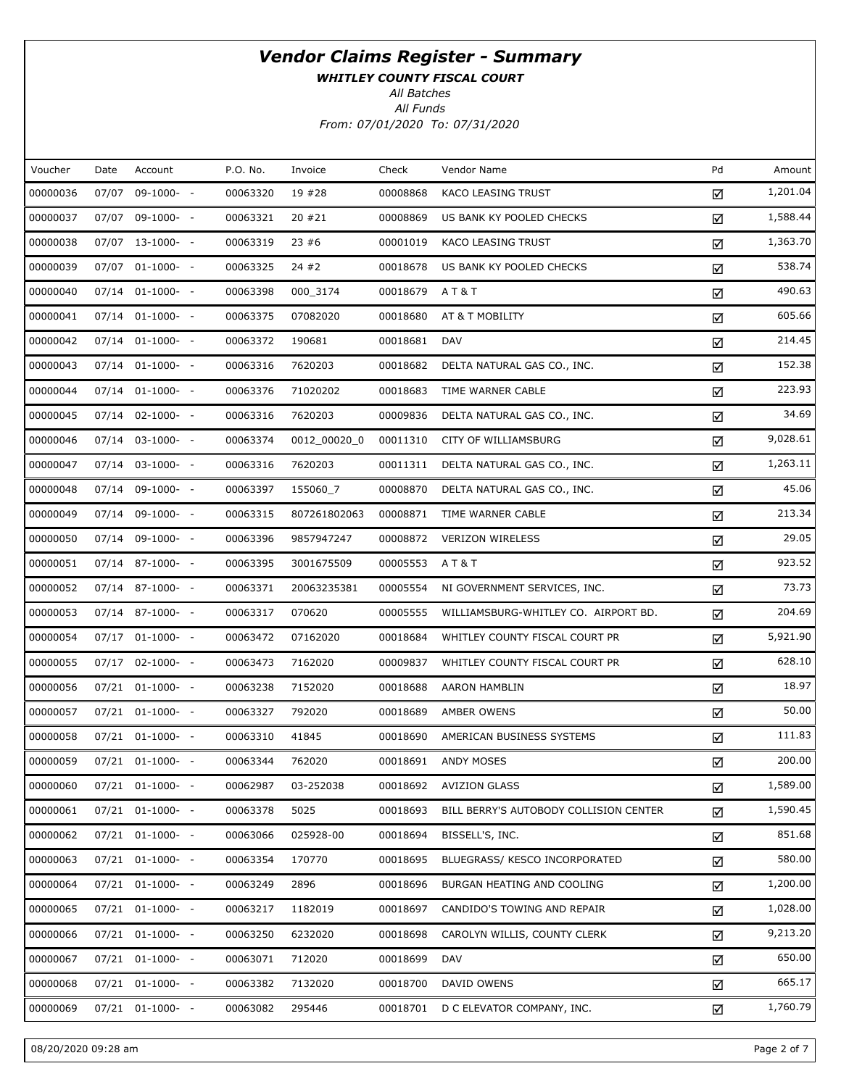WHITLEY COUNTY FISCAL COURT

All Batches

| Voucher  | Date  | Account              | P.O. No. | Invoice      | Check    | Vendor Name                            | Pd | Amount   |
|----------|-------|----------------------|----------|--------------|----------|----------------------------------------|----|----------|
| 00000036 | 07/07 | 09-1000- -           | 00063320 | 19 #28       | 00008868 | KACO LEASING TRUST                     | ☑  | 1,201.04 |
| 00000037 |       | 07/07 09-1000- -     | 00063321 | 20 #21       | 00008869 | US BANK KY POOLED CHECKS               | ☑  | 1,588.44 |
| 00000038 |       | 07/07 13-1000- -     | 00063319 | 23#6         | 00001019 | KACO LEASING TRUST                     | ☑  | 1,363.70 |
| 00000039 |       | 07/07 01-1000- -     | 00063325 | 24 #2        | 00018678 | US BANK KY POOLED CHECKS               | ☑  | 538.74   |
| 00000040 |       | 07/14 01-1000- -     | 00063398 | 000_3174     | 00018679 | A T & T                                | ☑  | 490.63   |
| 00000041 |       | 07/14 01-1000- -     | 00063375 | 07082020     | 00018680 | AT & T MOBILITY                        | ☑  | 605.66   |
| 00000042 |       | 07/14 01-1000- -     | 00063372 | 190681       | 00018681 | <b>DAV</b>                             | ☑  | 214.45   |
| 00000043 |       | 07/14 01-1000- -     | 00063316 | 7620203      | 00018682 | DELTA NATURAL GAS CO., INC.            | ☑  | 152.38   |
| 00000044 | 07/14 | $01-1000-$           | 00063376 | 71020202     | 00018683 | TIME WARNER CABLE                      | ☑  | 223.93   |
| 00000045 |       | 07/14 02-1000- -     | 00063316 | 7620203      | 00009836 | DELTA NATURAL GAS CO., INC.            | ☑  | 34.69    |
| 00000046 |       | 07/14 03-1000- -     | 00063374 | 0012 00020 0 | 00011310 | CITY OF WILLIAMSBURG                   | ☑  | 9,028.61 |
| 00000047 |       | 07/14 03-1000- -     | 00063316 | 7620203      | 00011311 | DELTA NATURAL GAS CO., INC.            | ☑  | 1,263.11 |
| 00000048 | 07/14 | 09-1000- -           | 00063397 | 155060_7     | 00008870 | DELTA NATURAL GAS CO., INC.            | ☑  | 45.06    |
| 00000049 |       | 07/14 09-1000- -     | 00063315 | 807261802063 | 00008871 | TIME WARNER CABLE                      | ☑  | 213.34   |
| 00000050 | 07/14 | 09-1000- -           | 00063396 | 9857947247   | 00008872 | <b>VERIZON WIRELESS</b>                | ☑  | 29.05    |
| 00000051 |       | 07/14 87-1000- -     | 00063395 | 3001675509   | 00005553 | A T & T                                | ☑  | 923.52   |
| 00000052 |       | 07/14 87-1000- -     | 00063371 | 20063235381  | 00005554 | NI GOVERNMENT SERVICES, INC.           | ☑  | 73.73    |
| 00000053 |       | 07/14 87-1000- -     | 00063317 | 070620       | 00005555 | WILLIAMSBURG-WHITLEY CO. AIRPORT BD.   | ☑  | 204.69   |
| 00000054 |       | 07/17 01-1000- -     | 00063472 | 07162020     | 00018684 | WHITLEY COUNTY FISCAL COURT PR         | ☑  | 5,921.90 |
| 00000055 |       | 07/17 02-1000- -     | 00063473 | 7162020      | 00009837 | WHITLEY COUNTY FISCAL COURT PR         | ☑  | 628.10   |
| 00000056 |       | 07/21 01-1000- -     | 00063238 | 7152020      | 00018688 | AARON HAMBLIN                          | ☑  | 18.97    |
| 00000057 |       | 07/21 01-1000- -     | 00063327 | 792020       | 00018689 | AMBER OWENS                            | ☑  | 50.00    |
| 00000058 |       | 07/21 01-1000- -     | 00063310 | 41845        | 00018690 | AMERICAN BUSINESS SYSTEMS              | ☑  | 111.83   |
| 00000059 |       | 07/21 01-1000- -     | 00063344 | 762020       | 00018691 | ANDY MOSES                             | ☑  | 200.00   |
| 00000060 |       | 07/21 01-1000- -     | 00062987 | 03-252038    | 00018692 | <b>AVIZION GLASS</b>                   | ☑  | 1,589.00 |
| 00000061 |       | 07/21 01-1000- -     | 00063378 | 5025         | 00018693 | BILL BERRY'S AUTOBODY COLLISION CENTER | ☑  | 1,590.45 |
| 00000062 |       | $07/21$ $01-1000-$ - | 00063066 | 025928-00    | 00018694 | BISSELL'S, INC.                        | ☑  | 851.68   |
| 00000063 |       | 07/21 01-1000- -     | 00063354 | 170770       | 00018695 | BLUEGRASS/ KESCO INCORPORATED          | ☑  | 580.00   |
| 00000064 |       | $07/21$ $01-1000-$ - | 00063249 | 2896         | 00018696 | BURGAN HEATING AND COOLING             | ☑  | 1,200.00 |
| 00000065 |       | 07/21 01-1000- -     | 00063217 | 1182019      | 00018697 | CANDIDO'S TOWING AND REPAIR            | ☑  | 1,028.00 |
| 00000066 |       | $07/21$ $01-1000-$ - | 00063250 | 6232020      | 00018698 | CAROLYN WILLIS, COUNTY CLERK           | ☑  | 9,213.20 |
| 00000067 |       | 07/21 01-1000- -     | 00063071 | 712020       | 00018699 | DAV                                    | ☑  | 650.00   |
| 00000068 |       | $07/21$ $01-1000-$ - | 00063382 | 7132020      | 00018700 | DAVID OWENS                            | ☑  | 665.17   |
| 00000069 |       | 07/21 01-1000- -     | 00063082 | 295446       | 00018701 | D C ELEVATOR COMPANY, INC.             | ☑  | 1,760.79 |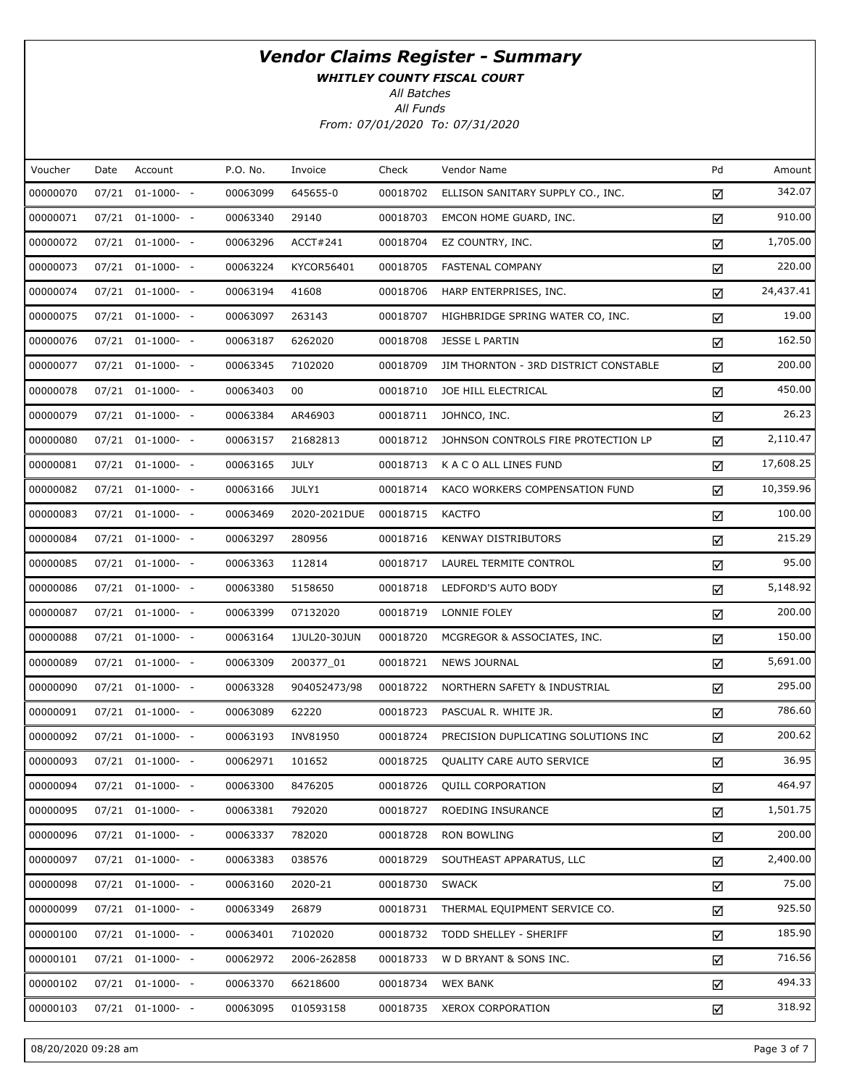WHITLEY COUNTY FISCAL COURT

All Batches

| Voucher  | Date  | Account              | P.O. No. | Invoice      | Check    | Vendor Name                           | Pd | Amount    |
|----------|-------|----------------------|----------|--------------|----------|---------------------------------------|----|-----------|
| 00000070 | 07/21 | $01-1000-$ -         | 00063099 | 645655-0     | 00018702 | ELLISON SANITARY SUPPLY CO., INC.     | ☑  | 342.07    |
| 00000071 |       | 07/21 01-1000- -     | 00063340 | 29140        | 00018703 | EMCON HOME GUARD, INC.                | ☑  | 910.00    |
| 00000072 |       | 07/21 01-1000- -     | 00063296 | ACCT#241     | 00018704 | EZ COUNTRY, INC.                      | ☑  | 1,705.00  |
| 00000073 |       | 07/21 01-1000- -     | 00063224 | KYCOR56401   | 00018705 | <b>FASTENAL COMPANY</b>               | ☑  | 220.00    |
| 00000074 |       | 07/21 01-1000- -     | 00063194 | 41608        | 00018706 | HARP ENTERPRISES, INC.                | ☑  | 24,437.41 |
| 00000075 |       | 07/21 01-1000- -     | 00063097 | 263143       | 00018707 | HIGHBRIDGE SPRING WATER CO, INC.      | ☑  | 19.00     |
| 00000076 |       | 07/21 01-1000- -     | 00063187 | 6262020      | 00018708 | JESSE L PARTIN                        | ☑  | 162.50    |
| 00000077 |       | 07/21 01-1000- -     | 00063345 | 7102020      | 00018709 | JIM THORNTON - 3RD DISTRICT CONSTABLE | ☑  | 200.00    |
| 00000078 |       | 07/21 01-1000- -     | 00063403 | 00           | 00018710 | JOE HILL ELECTRICAL                   | ☑  | 450.00    |
| 00000079 |       | 07/21 01-1000- -     | 00063384 | AR46903      | 00018711 | JOHNCO, INC.                          | ☑  | 26.23     |
| 00000080 |       | 07/21 01-1000- -     | 00063157 | 21682813     | 00018712 | JOHNSON CONTROLS FIRE PROTECTION LP   | ☑  | 2,110.47  |
| 00000081 |       | 07/21 01-1000- -     | 00063165 | <b>JULY</b>  | 00018713 | K A C O ALL LINES FUND                | ☑  | 17,608.25 |
| 00000082 |       | 07/21 01-1000- -     | 00063166 | JULY1        | 00018714 | KACO WORKERS COMPENSATION FUND        | ☑  | 10,359.96 |
| 00000083 |       | 07/21 01-1000- -     | 00063469 | 2020-2021DUE | 00018715 | <b>KACTFO</b>                         | ☑  | 100.00    |
| 00000084 |       | 07/21 01-1000- -     | 00063297 | 280956       | 00018716 | <b>KENWAY DISTRIBUTORS</b>            | ☑  | 215.29    |
| 00000085 |       | 07/21 01-1000- -     | 00063363 | 112814       | 00018717 | LAUREL TERMITE CONTROL                | ☑  | 95.00     |
| 00000086 |       | 07/21 01-1000- -     | 00063380 | 5158650      | 00018718 | LEDFORD'S AUTO BODY                   | ☑  | 5,148.92  |
| 00000087 |       | 07/21 01-1000- -     | 00063399 | 07132020     | 00018719 | LONNIE FOLEY                          | ☑  | 200.00    |
| 00000088 |       | 07/21 01-1000- -     | 00063164 | 1JUL20-30JUN | 00018720 | MCGREGOR & ASSOCIATES, INC.           | ☑  | 150.00    |
| 00000089 |       | 07/21 01-1000- -     | 00063309 | 200377_01    | 00018721 | <b>NEWS JOURNAL</b>                   | ☑  | 5,691.00  |
| 00000090 |       | 07/21 01-1000- -     | 00063328 | 904052473/98 | 00018722 | NORTHERN SAFETY & INDUSTRIAL          | ☑  | 295.00    |
| 00000091 |       | 07/21 01-1000- -     | 00063089 | 62220        | 00018723 | PASCUAL R. WHITE JR.                  | ☑  | 786.60    |
| 00000092 |       | 07/21 01-1000- -     | 00063193 | INV81950     | 00018724 | PRECISION DUPLICATING SOLUTIONS INC   | ☑  | 200.62    |
| 00000093 |       | 07/21 01-1000- -     | 00062971 | 101652       | 00018725 | <b>QUALITY CARE AUTO SERVICE</b>      | ☑  | 36.95     |
| 00000094 |       | 07/21 01-1000- -     | 00063300 | 8476205      | 00018726 | <b>QUILL CORPORATION</b>              | ☑  | 464.97    |
| 00000095 |       | 07/21 01-1000- -     | 00063381 | 792020       | 00018727 | ROEDING INSURANCE                     | ☑  | 1,501.75  |
| 00000096 |       | $07/21$ $01-1000-$ - | 00063337 | 782020       | 00018728 | RON BOWLING                           | ☑  | 200.00    |
| 00000097 |       | 07/21 01-1000- -     | 00063383 | 038576       | 00018729 | SOUTHEAST APPARATUS, LLC              | ☑  | 2,400.00  |
| 00000098 |       | $07/21$ $01-1000-$ - | 00063160 | 2020-21      | 00018730 | <b>SWACK</b>                          | ☑  | 75.00     |
| 00000099 |       | 07/21 01-1000- -     | 00063349 | 26879        | 00018731 | THERMAL EQUIPMENT SERVICE CO.         | ☑  | 925.50    |
| 00000100 |       | $07/21$ $01-1000-$ - | 00063401 | 7102020      | 00018732 | TODD SHELLEY - SHERIFF                | ☑  | 185.90    |
| 00000101 |       | 07/21 01-1000- -     | 00062972 | 2006-262858  | 00018733 | W D BRYANT & SONS INC.                | ☑  | 716.56    |
| 00000102 |       | 07/21 01-1000- -     | 00063370 | 66218600     | 00018734 | <b>WEX BANK</b>                       | ☑  | 494.33    |
| 00000103 |       | 07/21 01-1000- -     | 00063095 | 010593158    | 00018735 | XEROX CORPORATION                     | ☑  | 318.92    |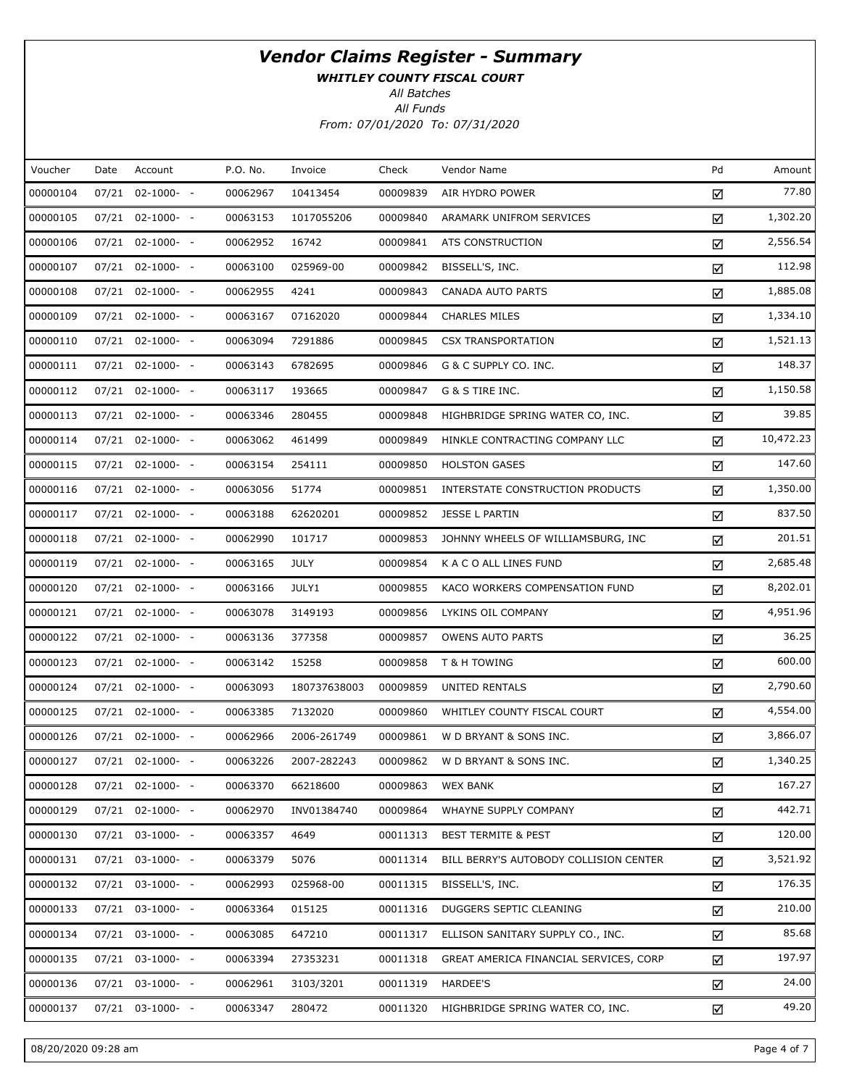WHITLEY COUNTY FISCAL COURT

All Batches

| Voucher  | Date  | Account               | P.O. No. | Invoice      | Check    | Vendor Name                            | Pd | Amount    |
|----------|-------|-----------------------|----------|--------------|----------|----------------------------------------|----|-----------|
| 00000104 | 07/21 | $02 - 1000 - -$       | 00062967 | 10413454     | 00009839 | AIR HYDRO POWER                        | ☑  | 77.80     |
| 00000105 |       | $07/21$ $02-1000$ - - | 00063153 | 1017055206   | 00009840 | ARAMARK UNIFROM SERVICES               | ☑  | 1,302.20  |
| 00000106 |       | $07/21$ $02-1000$ - - | 00062952 | 16742        | 00009841 | ATS CONSTRUCTION                       | ☑  | 2,556.54  |
| 00000107 |       | $07/21$ $02-1000$ - - | 00063100 | 025969-00    | 00009842 | BISSELL'S, INC.                        | ☑  | 112.98    |
| 00000108 |       | $07/21$ $02-1000$ - - | 00062955 | 4241         | 00009843 | CANADA AUTO PARTS                      | ☑  | 1,885.08  |
| 00000109 |       | $07/21$ $02-1000$ - - | 00063167 | 07162020     | 00009844 | <b>CHARLES MILES</b>                   | ☑  | 1,334.10  |
| 00000110 |       | $07/21$ $02-1000-$ -  | 00063094 | 7291886      | 00009845 | <b>CSX TRANSPORTATION</b>              | ☑  | 1,521.13  |
| 00000111 |       | $07/21$ $02-1000-$ -  | 00063143 | 6782695      | 00009846 | G & C SUPPLY CO. INC.                  | ☑  | 148.37    |
| 00000112 |       | $07/21$ $02-1000-$ -  | 00063117 | 193665       | 00009847 | G & S TIRE INC.                        | ☑  | 1,150.58  |
| 00000113 |       | $07/21$ $02-1000-$ -  | 00063346 | 280455       | 00009848 | HIGHBRIDGE SPRING WATER CO, INC.       | ☑  | 39.85     |
| 00000114 |       | $07/21$ $02-1000-$ -  | 00063062 | 461499       | 00009849 | HINKLE CONTRACTING COMPANY LLC         | ☑  | 10,472.23 |
| 00000115 |       | $07/21$ $02-1000-$ -  | 00063154 | 254111       | 00009850 | <b>HOLSTON GASES</b>                   | ☑  | 147.60    |
| 00000116 |       | $07/21$ $02-1000-$ -  | 00063056 | 51774        | 00009851 | INTERSTATE CONSTRUCTION PRODUCTS       | ☑  | 1,350.00  |
| 00000117 |       | $07/21$ $02-1000-$ -  | 00063188 | 62620201     | 00009852 | JESSE L PARTIN                         | ☑  | 837.50    |
| 00000118 |       | $07/21$ $02-1000-$ -  | 00062990 | 101717       | 00009853 | JOHNNY WHEELS OF WILLIAMSBURG, INC     | ☑  | 201.51    |
| 00000119 |       | $07/21$ $02-1000-$ -  | 00063165 | <b>JULY</b>  | 00009854 | K A C O ALL LINES FUND                 | ☑  | 2,685.48  |
| 00000120 |       | $07/21$ $02-1000-$ -  | 00063166 | JULY1        | 00009855 | KACO WORKERS COMPENSATION FUND         | ☑  | 8,202.01  |
| 00000121 |       | $07/21$ $02-1000-$ -  | 00063078 | 3149193      | 00009856 | LYKINS OIL COMPANY                     | ☑  | 4,951.96  |
| 00000122 |       | $07/21$ $02-1000-$ -  | 00063136 | 377358       | 00009857 | <b>OWENS AUTO PARTS</b>                | ☑  | 36.25     |
| 00000123 |       | $07/21$ $02-1000-$ -  | 00063142 | 15258        | 00009858 | T & H TOWING                           | ☑  | 600.00    |
| 00000124 |       | $07/21$ $02-1000-$ -  | 00063093 | 180737638003 | 00009859 | UNITED RENTALS                         | ☑  | 2,790.60  |
| 00000125 |       | $07/21$ $02-1000-$ -  | 00063385 | 7132020      | 00009860 | WHITLEY COUNTY FISCAL COURT            | ☑  | 4,554.00  |
| 00000126 |       | 07/21 02-1000- -      | 00062966 | 2006-261749  | 00009861 | W D BRYANT & SONS INC.                 | ☑  | 3,866.07  |
| 00000127 |       | $07/21$ $02-1000-$ -  | 00063226 | 2007-282243  | 00009862 | W D BRYANT & SONS INC.                 | ☑  | 1,340.25  |
| 00000128 |       | $07/21$ $02-1000-$ -  | 00063370 | 66218600     | 00009863 | <b>WEX BANK</b>                        | ☑  | 167.27    |
| 00000129 |       | $07/21$ $02-1000-$ -  | 00062970 | INV01384740  | 00009864 | WHAYNE SUPPLY COMPANY                  | ☑  | 442.71    |
| 00000130 |       | $07/21$ $03-1000-$ -  | 00063357 | 4649         | 00011313 | <b>BEST TERMITE &amp; PEST</b>         | ☑  | 120.00    |
| 00000131 |       | $07/21$ $03-1000-$ -  | 00063379 | 5076         | 00011314 | BILL BERRY'S AUTOBODY COLLISION CENTER | ☑  | 3,521.92  |
| 00000132 |       | $07/21$ $03-1000-$ -  | 00062993 | 025968-00    | 00011315 | BISSELL'S, INC.                        | ☑  | 176.35    |
| 00000133 |       | $07/21$ $03-1000-$ -  | 00063364 | 015125       | 00011316 | DUGGERS SEPTIC CLEANING                | ☑  | 210.00    |
| 00000134 |       | $07/21$ $03-1000-$ -  | 00063085 | 647210       | 00011317 | ELLISON SANITARY SUPPLY CO., INC.      | ☑  | 85.68     |
| 00000135 |       | $07/21$ $03-1000$ - - | 00063394 | 27353231     | 00011318 | GREAT AMERICA FINANCIAL SERVICES, CORP | ☑  | 197.97    |
| 00000136 |       | $07/21$ $03-1000-$ -  | 00062961 | 3103/3201    | 00011319 | HARDEE'S                               | ☑  | 24.00     |
| 00000137 |       | $07/21$ 03-1000- -    | 00063347 | 280472       | 00011320 | HIGHBRIDGE SPRING WATER CO, INC.       | ☑  | 49.20     |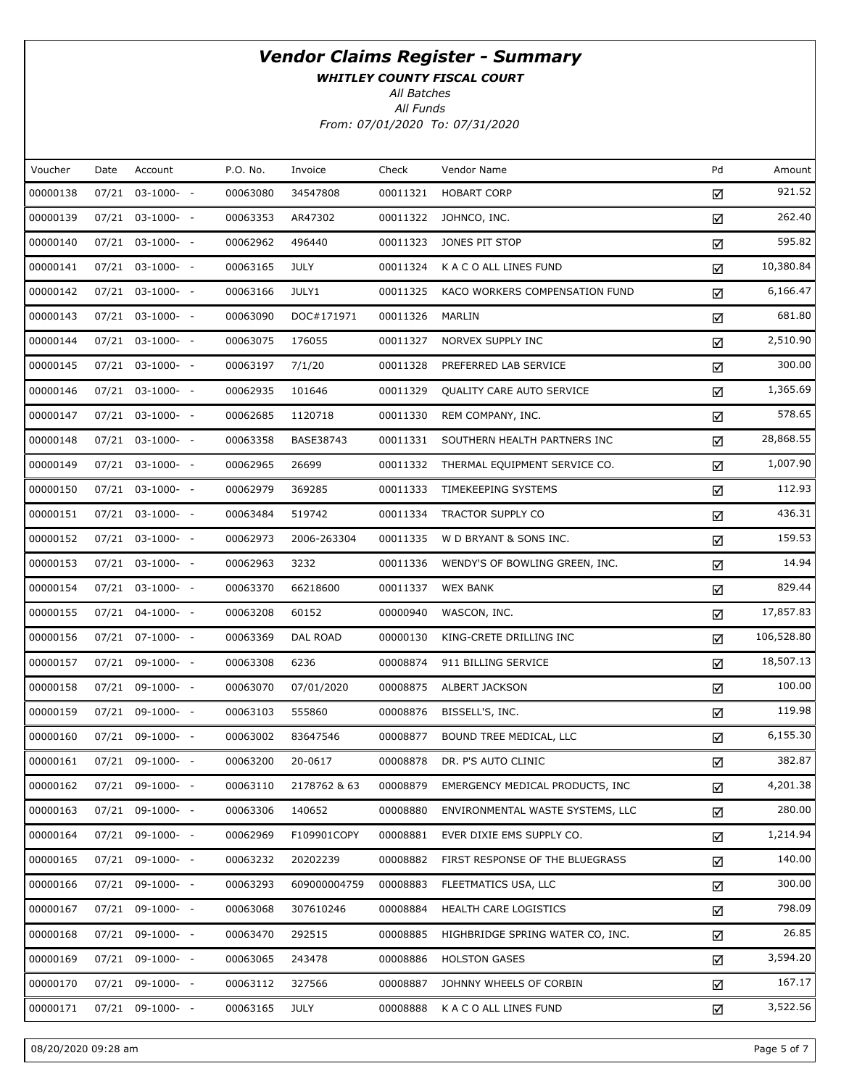WHITLEY COUNTY FISCAL COURT

All Batches

| Voucher  | Date  | Account              | P.O. No. | Invoice      | Check    | Vendor Name                      | Pd | Amount     |
|----------|-------|----------------------|----------|--------------|----------|----------------------------------|----|------------|
| 00000138 | 07/21 | $03-1000- -$         | 00063080 | 34547808     | 00011321 | <b>HOBART CORP</b>               | ☑  | 921.52     |
| 00000139 |       | 07/21 03-1000- -     | 00063353 | AR47302      | 00011322 | JOHNCO, INC.                     | ☑  | 262.40     |
| 00000140 |       | $07/21$ $03-1000-$ - | 00062962 | 496440       | 00011323 | JONES PIT STOP                   | ☑  | 595.82     |
| 00000141 |       | 07/21 03-1000- -     | 00063165 | <b>JULY</b>  | 00011324 | K A C O ALL LINES FUND           | ☑  | 10,380.84  |
| 00000142 |       | $07/21$ $03-1000-$ - | 00063166 | JULY1        | 00011325 | KACO WORKERS COMPENSATION FUND   | ☑  | 6,166.47   |
| 00000143 |       | 07/21 03-1000- -     | 00063090 | DOC#171971   | 00011326 | MARLIN                           | ☑  | 681.80     |
| 00000144 |       | $07/21$ $03-1000-$ - | 00063075 | 176055       | 00011327 | NORVEX SUPPLY INC                | ☑  | 2,510.90   |
| 00000145 |       | 07/21 03-1000- -     | 00063197 | 7/1/20       | 00011328 | PREFERRED LAB SERVICE            | ☑  | 300.00     |
| 00000146 |       | $07/21$ $03-1000-$ - | 00062935 | 101646       | 00011329 | QUALITY CARE AUTO SERVICE        | ☑  | 1,365.69   |
| 00000147 |       | 07/21 03-1000- -     | 00062685 | 1120718      | 00011330 | REM COMPANY, INC.                | ☑  | 578.65     |
| 00000148 |       | $07/21$ $03-1000-$ - | 00063358 | BASE38743    | 00011331 | SOUTHERN HEALTH PARTNERS INC     | ☑  | 28,868.55  |
| 00000149 |       | 07/21 03-1000- -     | 00062965 | 26699        | 00011332 | THERMAL EQUIPMENT SERVICE CO.    | ☑  | 1,007.90   |
| 00000150 |       | $07/21$ $03-1000-$ - | 00062979 | 369285       | 00011333 | TIMEKEEPING SYSTEMS              | ☑  | 112.93     |
| 00000151 |       | 07/21 03-1000- -     | 00063484 | 519742       | 00011334 | TRACTOR SUPPLY CO                | ☑  | 436.31     |
| 00000152 |       | 07/21 03-1000- -     | 00062973 | 2006-263304  | 00011335 | W D BRYANT & SONS INC.           | ☑  | 159.53     |
| 00000153 |       | 07/21 03-1000- -     | 00062963 | 3232         | 00011336 | WENDY'S OF BOWLING GREEN, INC.   | ☑  | 14.94      |
| 00000154 |       | 07/21 03-1000- -     | 00063370 | 66218600     | 00011337 | <b>WEX BANK</b>                  | ☑  | 829.44     |
| 00000155 |       | 07/21 04-1000- -     | 00063208 | 60152        | 00000940 | WASCON, INC.                     | ☑  | 17,857.83  |
| 00000156 |       | 07/21 07-1000- -     | 00063369 | DAL ROAD     | 00000130 | KING-CRETE DRILLING INC          | ☑  | 106,528.80 |
| 00000157 |       | 07/21 09-1000- -     | 00063308 | 6236         | 00008874 | 911 BILLING SERVICE              | ☑  | 18,507.13  |
| 00000158 |       | 07/21 09-1000- -     | 00063070 | 07/01/2020   | 00008875 | <b>ALBERT JACKSON</b>            | ☑  | 100.00     |
| 00000159 |       | 07/21 09-1000- -     | 00063103 | 555860       | 00008876 | BISSELL'S, INC.                  | ☑  | 119.98     |
| 00000160 |       | 07/21 09-1000- -     | 00063002 | 83647546     | 00008877 | BOUND TREE MEDICAL, LLC          | ☑  | 6,155.30   |
| 00000161 |       | 07/21 09-1000- -     | 00063200 | 20-0617      | 00008878 | DR. P'S AUTO CLINIC              | ☑  | 382.87     |
| 00000162 |       | 07/21 09-1000- -     | 00063110 | 2178762 & 63 | 00008879 | EMERGENCY MEDICAL PRODUCTS, INC  | ☑  | 4,201.38   |
| 00000163 |       | 07/21 09-1000- -     | 00063306 | 140652       | 00008880 | ENVIRONMENTAL WASTE SYSTEMS, LLC | ☑  | 280.00     |
| 00000164 |       | 07/21 09-1000- -     | 00062969 | F109901COPY  | 00008881 | EVER DIXIE EMS SUPPLY CO.        | ☑  | 1,214.94   |
| 00000165 |       | 07/21 09-1000- -     | 00063232 | 20202239     | 00008882 | FIRST RESPONSE OF THE BLUEGRASS  | ☑  | 140.00     |
| 00000166 |       | 07/21 09-1000- -     | 00063293 | 609000004759 | 00008883 | FLEETMATICS USA, LLC             | ☑  | 300.00     |
| 00000167 | 07/21 | 09-1000- -           | 00063068 | 307610246    | 00008884 | HEALTH CARE LOGISTICS            | ☑  | 798.09     |
| 00000168 |       | 07/21 09-1000- -     | 00063470 | 292515       | 00008885 | HIGHBRIDGE SPRING WATER CO, INC. | ☑  | 26.85      |
| 00000169 | 07/21 | 09-1000- -           | 00063065 | 243478       | 00008886 | <b>HOLSTON GASES</b>             | ☑  | 3,594.20   |
| 00000170 |       | 07/21 09-1000- -     | 00063112 | 327566       | 00008887 | JOHNNY WHEELS OF CORBIN          | ☑  | 167.17     |
| 00000171 |       | 07/21 09-1000- -     | 00063165 | <b>JULY</b>  | 00008888 | K A C O ALL LINES FUND           | ☑  | 3,522.56   |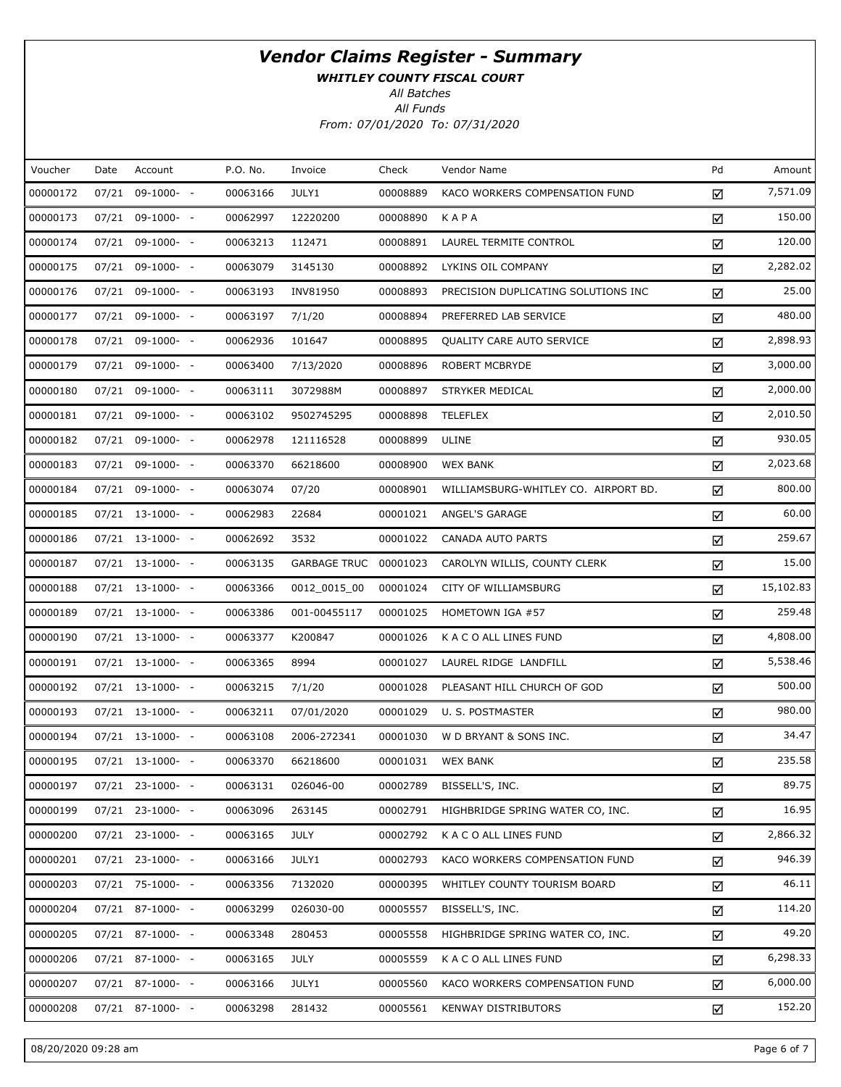WHITLEY COUNTY FISCAL COURT

All Batches

| Voucher  | Date | Account            | P.O. No. | Invoice               | Check    | Vendor Name                          | Pd | Amount    |
|----------|------|--------------------|----------|-----------------------|----------|--------------------------------------|----|-----------|
| 00000172 |      | 07/21 09-1000- -   | 00063166 | JULY1                 | 00008889 | KACO WORKERS COMPENSATION FUND       | ☑  | 7,571.09  |
| 00000173 |      | 07/21 09-1000- -   | 00062997 | 12220200              | 00008890 | KAPA                                 | ☑  | 150.00    |
| 00000174 |      | $07/21$ 09-1000- - | 00063213 | 112471                | 00008891 | LAUREL TERMITE CONTROL               | ☑  | 120.00    |
| 00000175 |      | 07/21 09-1000- -   | 00063079 | 3145130               | 00008892 | LYKINS OIL COMPANY                   | ☑  | 2,282.02  |
| 00000176 |      | $07/21$ 09-1000- - | 00063193 | INV81950              | 00008893 | PRECISION DUPLICATING SOLUTIONS INC  | ☑  | 25.00     |
| 00000177 |      | 07/21 09-1000- -   | 00063197 | 7/1/20                | 00008894 | PREFERRED LAB SERVICE                | ☑  | 480.00    |
| 00000178 |      | $07/21$ 09-1000- - | 00062936 | 101647                | 00008895 | <b>OUALITY CARE AUTO SERVICE</b>     | ☑  | 2,898.93  |
| 00000179 |      | 07/21 09-1000- -   | 00063400 | 7/13/2020             | 00008896 | ROBERT MCBRYDE                       | ☑  | 3,000.00  |
| 00000180 |      | $07/21$ 09-1000- - | 00063111 | 3072988M              | 00008897 | STRYKER MEDICAL                      | ☑  | 2,000.00  |
| 00000181 |      | 07/21 09-1000- -   | 00063102 | 9502745295            | 00008898 | <b>TELEFLEX</b>                      | ☑  | 2,010.50  |
| 00000182 |      | $07/21$ 09-1000- - | 00062978 | 121116528             | 00008899 | ULINE                                | ☑  | 930.05    |
| 00000183 |      | 07/21 09-1000- -   | 00063370 | 66218600              | 00008900 | <b>WEX BANK</b>                      | ☑  | 2,023.68  |
| 00000184 |      | $07/21$ 09-1000- - | 00063074 | 07/20                 | 00008901 | WILLIAMSBURG-WHITLEY CO. AIRPORT BD. | ☑  | 800.00    |
| 00000185 |      | $07/21$ 13-1000- - | 00062983 | 22684                 | 00001021 | ANGEL'S GARAGE                       | ☑  | 60.00     |
| 00000186 |      | $07/21$ 13-1000- - | 00062692 | 3532                  | 00001022 | <b>CANADA AUTO PARTS</b>             | ☑  | 259.67    |
| 00000187 |      | $07/21$ 13-1000- - | 00063135 | GARBAGE TRUC 00001023 |          | CAROLYN WILLIS, COUNTY CLERK         | ☑  | 15.00     |
| 00000188 |      | $07/21$ 13-1000- - | 00063366 | 0012_0015_00          | 00001024 | CITY OF WILLIAMSBURG                 | ☑  | 15,102.83 |
| 00000189 |      | $07/21$ 13-1000- - | 00063386 | 001-00455117          | 00001025 | HOMETOWN IGA #57                     | ☑  | 259.48    |
| 00000190 |      | $07/21$ 13-1000- - | 00063377 | K200847               | 00001026 | K A C O ALL LINES FUND               | ☑  | 4,808.00  |
| 00000191 |      | $07/21$ 13-1000- - | 00063365 | 8994                  | 00001027 | LAUREL RIDGE LANDFILL                | ☑  | 5,538.46  |
| 00000192 |      | $07/21$ 13-1000- - | 00063215 | 7/1/20                | 00001028 | PLEASANT HILL CHURCH OF GOD          | ☑  | 500.00    |
| 00000193 |      | $07/21$ 13-1000- - | 00063211 | 07/01/2020            | 00001029 | U. S. POSTMASTER                     | ☑  | 980.00    |
| 00000194 |      | $07/21$ 13-1000- - | 00063108 | 2006-272341           | 00001030 | W D BRYANT & SONS INC.               | ☑  | 34.47     |
| 00000195 |      | 07/21 13-1000- -   | 00063370 | 66218600              | 00001031 | <b>WEX BANK</b>                      | ☑  | 235.58    |
| 00000197 |      | $07/21$ 23-1000- - | 00063131 | 026046-00             | 00002789 | BISSELL'S, INC.                      | ☑  | 89.75     |
| 00000199 |      | $07/21$ 23-1000- - | 00063096 | 263145                | 00002791 | HIGHBRIDGE SPRING WATER CO, INC.     | ☑  | 16.95     |
| 00000200 |      | $07/21$ 23-1000- - | 00063165 | <b>JULY</b>           | 00002792 | K A C O ALL LINES FUND               | ☑  | 2,866.32  |
| 00000201 |      | $07/21$ 23-1000- - | 00063166 | JULY1                 | 00002793 | KACO WORKERS COMPENSATION FUND       | ☑  | 946.39    |
| 00000203 |      | 07/21 75-1000- -   | 00063356 | 7132020               | 00000395 | WHITLEY COUNTY TOURISM BOARD         | ☑  | 46.11     |
| 00000204 |      | $07/21$ 87-1000- - | 00063299 | 026030-00             | 00005557 | BISSELL'S, INC.                      | ☑  | 114.20    |
| 00000205 |      | $07/21$ 87-1000- - | 00063348 | 280453                | 00005558 | HIGHBRIDGE SPRING WATER CO, INC.     | ☑  | 49.20     |
| 00000206 |      | $07/21$ 87-1000- - | 00063165 | <b>JULY</b>           | 00005559 | K A C O ALL LINES FUND               | ☑  | 6,298.33  |
| 00000207 |      | $07/21$ 87-1000- - | 00063166 | JULY1                 | 00005560 | KACO WORKERS COMPENSATION FUND       | ☑  | 6,000.00  |
| 00000208 |      | 07/21 87-1000- -   | 00063298 | 281432                | 00005561 | <b>KENWAY DISTRIBUTORS</b>           | ☑  | 152.20    |